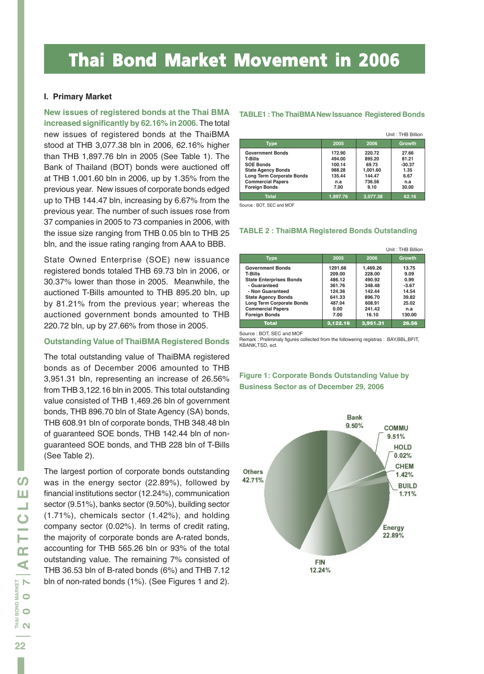# Thai Bond Market Movement in 2006

#### **I. Primary Market**

**New issues of registered bonds at the Thai BMA increased significantly by 62.16% in 2006.** The total new issues of registered bonds at the ThaiBMA stood at THB 3,077.38 bln in 2006, 62.16% higher than THB 1,897.76 bln in 2005 (See Table 1). The Bank of Thailand (BOT) bonds were auctioned off at THB 1,001.60 bln in 2006, up by 1.35% from the previous year. New issues of corporate bonds edged up to THB 144.47 bln, increasing by 6.67% from the previous year. The number of such issues rose from 37 companies in 2005 to 73 companies in 2006, with the issue size ranging from THB 0.05 bln to THB 25 bln, and the issue rating ranging from AAA to BBB.

State Owned Enterprise (SOE) new issuance registered bonds totaled THB 69.73 bln in 2006, or 30.37% lower than those in 2005. Meanwhile, the auctioned T-Bills amounted to THB 895.20 bln, up by 81.21% from the previous year; whereas the auctioned government bonds amounted to THB 220.72 bln, up by 27.66% from those in 2005.

#### *Outstanding Value of ThaiBMA Registered Bonds*

The total outstanding value of ThaiBMA registered bonds as of December 2006 amounted to THB 3,951.31 bln, representing an increase of 26.56% from THB 3,122.16 bln in 2005. This total outstanding value consisted of THB 1,469.26 bln of government bonds, THB 896.70 bln of State Agency (SA) bonds, THB 608.91 bln of corporate bonds, THB 348.48 bln of guaranteed SOE bonds, THB 142.44 bln of nonguaranteed SOE bonds, and THB 228 bln of T-Bills (See Table 2).

The largest portion of corporate bonds outstanding was in the energy sector (22.89%), followed by financial institutions sector (12.24%), communication sector (9.51%), banks sector (9.50%), building sector (1.71%), chemicals sector (1.42%), and holding company sector (0.02%). In terms of credit rating, the majority of corporate bonds are A-rated bonds, accounting for THB 565.26 bln or 93% of the total outstanding value. The remaining 7% consisted of THB 36.53 bln of B-rated bonds (6%) and THB 7.12 bln of non-rated bonds (1%). (See Figures 1 and 2).

#### **TABLE1 : The ThaiBMA New Issuance Registered Bonds**

|                           |          |          | Unit: THB Billion |
|---------------------------|----------|----------|-------------------|
| <b>Type</b>               | 2005     | 2006     | <b>Growth</b>     |
| <b>Government Bonds</b>   | 172.90   | 220.72   | 27.66             |
| <b>T-Bills</b>            | 494.00   | 895.20   | 81.21             |
| <b>SOE Bonds</b>          | 100.14   | 69.73    | $-30.37$          |
| <b>State Agency Bonds</b> | 988.28   | 1.001.60 | 1.35              |
| Long Term Corporate Bonds | 135.44   | 144.47   | 6.67              |
| <b>Commercial Papers</b>  | n.a      | 736.56   | n.a               |
| <b>Foreign Bonds</b>      | 7.00     | 9.10     | 30.00             |
| <b>Total</b>              | 1.897.76 | 3.077.38 | 62.16             |

Source : BOT, SEC and MOF

#### **TABLE 2 : ThaiBMA Registered Bonds Outstanding**

|                                                                                                                                                                                                                               |                                                                                     |                                                                                         | Unit: THB Billion                                                            |
|-------------------------------------------------------------------------------------------------------------------------------------------------------------------------------------------------------------------------------|-------------------------------------------------------------------------------------|-----------------------------------------------------------------------------------------|------------------------------------------------------------------------------|
| <b>Type</b>                                                                                                                                                                                                                   | 2005                                                                                | 2006                                                                                    | Growth                                                                       |
| <b>Government Bonds</b><br><b>T-Bills</b><br><b>State Enterprises Bonds</b><br>- Guaranteed<br>- Non Guaranteed<br><b>State Agency Bonds</b><br>Long Term Corporate Bonds<br><b>Commercial Papers</b><br><b>Foreign Bonds</b> | 1291.66<br>209.00<br>486.12<br>361.76<br>124.36<br>641.33<br>487.04<br>0.00<br>7.00 | 1,469.26<br>228.00<br>490.92<br>348.48<br>142.44<br>896.70<br>608.91<br>241.42<br>16.10 | 13.75<br>9.09<br>0.99<br>$-3.67$<br>14.54<br>39.82<br>25.02<br>n.a<br>130.00 |
| <b>Total</b>                                                                                                                                                                                                                  | 3.122.16                                                                            | 3.951.31                                                                                | 26.56                                                                        |

Source : BOT, SEC and MOF

Remark : Preliminaly figures collected from the followering registras : BAY,BBL,BFIT, KBANK,TSD, ect.



### **Figure 1: Corporate Bonds Outstanding Value by Business Sector as of December 29, 2006**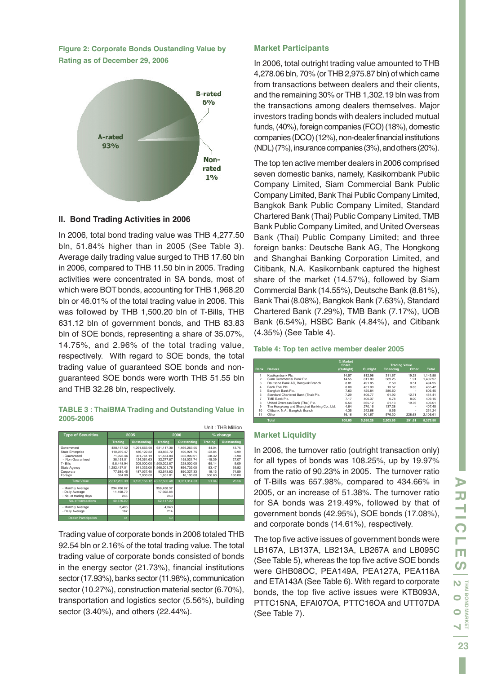**Figure 2: Corporate Bonds Oustanding Value by Rating as of December 29, 2006**



#### **II. Bond Trading Activities in 2006**

In 2006, total bond trading value was THB 4,277.50 bln, 51.84% higher than in 2005 (See Table 3). Average daily trading value surged to THB 17.60 bln in 2006, compared to THB 11.50 bln in 2005. Trading activities were concentrated in SA bonds, most of which were BOT bonds, accounting for THB 1,968.20 bln or 46.01% of the total trading value in 2006. This was followed by THB 1,500.20 bln of T-Bills, THB 631.12 bln of government bonds, and THB 83.83 bln of SOE bonds, representing a share of 35.07%, 14.75%, and 2.96% of the total trading value, respectively. With regard to SOE bonds, the total trading value of guaranteed SOE bonds and nonguaranteed SOE bonds were worth THB 51.55 bln and THB 32.28 bln, respectively.

#### **TABLE 3 : ThaiBMA Trading and Outstanding Value in 2005-2006**

| Unit: THB Million                                                                                                                   |                                                                                                         |                                                                                                              |                                                                                                            |                                                                                                               |                                                                                |                                                                       |  |
|-------------------------------------------------------------------------------------------------------------------------------------|---------------------------------------------------------------------------------------------------------|--------------------------------------------------------------------------------------------------------------|------------------------------------------------------------------------------------------------------------|---------------------------------------------------------------------------------------------------------------|--------------------------------------------------------------------------------|-----------------------------------------------------------------------|--|
| <b>Type of Securities</b>                                                                                                           |                                                                                                         | 2005                                                                                                         |                                                                                                            | 2006                                                                                                          | % change                                                                       |                                                                       |  |
|                                                                                                                                     | <b>Trading</b>                                                                                          | Outstanding                                                                                                  | <b>Trading</b>                                                                                             | Outstanding                                                                                                   | <b>Trading</b>                                                                 | <b>Outstanding</b>                                                    |  |
| Government<br><b>State Enterprise</b><br>- Guaranteed<br>- Non Guaranteed<br>T-Bills<br><b>State Agency</b><br>Corporate<br>Foreign | 438.157.52<br>110.079.47<br>71.928.46<br>38.151.01<br>9.8.448.94<br>1.282.437.01<br>77.685.45<br>394.00 | 1.291.663.90<br>486.122.82<br>361,761.19<br>124.361.63<br>209.000.00<br>641.332.00<br>487.037.40<br>7.000.00 | 631.117.30<br>83.832.72<br>51.554.84<br>32.277.87<br>1.500.202.87<br>1.968.201.76<br>92.543.82<br>1.602.01 | 1.469.263.55<br>490.921.75<br>332,900.01<br>158.021.74<br>228,000.00<br>896,702.00<br>850.327.33<br>16,100.00 | 44.04<br>$-23.84$<br>$-28.32$<br>$-15.39$<br>65.14<br>53.47<br>19.13<br>306.60 | 13.75<br>0.99<br>$-7.98$<br>27.07<br>9.09<br>39.82<br>74.59<br>130.00 |  |
| <b>Total Value</b>                                                                                                                  | 2.817.202.39                                                                                            | 3.122.156.12                                                                                                 | 4.277.500.48                                                                                               | 3.951.314.63                                                                                                  | 51.84                                                                          | 26.56                                                                 |  |
| - Monthly Average<br>- Daily Average<br>- No. of trading days                                                                       | 234.766.87<br>11,498.79<br>245                                                                          |                                                                                                              | 356,458.37<br>17,602.88<br>243                                                                             |                                                                                                               |                                                                                |                                                                       |  |
| No. of transactions                                                                                                                 | 40.870.00                                                                                               |                                                                                                              | 52.117.00                                                                                                  |                                                                                                               |                                                                                |                                                                       |  |
| - Monthly Average<br>- Daily Average                                                                                                | 3.406<br>167                                                                                            |                                                                                                              | 4.343<br>214                                                                                               |                                                                                                               |                                                                                |                                                                       |  |
| <b>Dealer Participation</b>                                                                                                         | 41                                                                                                      |                                                                                                              | 40                                                                                                         |                                                                                                               |                                                                                |                                                                       |  |

Trading value of corporate bonds in 2006 totaled THB 92.54 bln or 2.16% of the total trading value. The total trading value of corporate bonds consisted of bonds in the energy sector (21.73%), financial institutions sector (17.93%), banks sector (11.98%), communication sector (10.27%), construction material sector (6.70%), transportation and logistics sector (5.56%), building sector (3.40%), and others (22.44%).

#### *Market Participants*

In 2006, total outright trading value amounted to THB 4,278.06 bln, 70% (or THB 2,975.87 bln) of which came from transactions between dealers and their clients, and the remaining 30% or THB 1,302.19 bln was from the transactions among dealers themselves. Major investors trading bonds with dealers included mutual funds, (40%), foreign companies (FCO) (18%), domestic companies (DCO) (12%), non-dealer financial institutions (NDL) (7%), insurance companies (3%), and others (20%).

The top ten active member dealers in 2006 comprised seven domestic banks, namely, Kasikornbank Public Company Limited, Siam Commercial Bank Public Company Limited, Bank Thai Public Company Limited, Bangkok Bank Public Company Limited, Standard Chartered Bank (Thai) Public Company Limited, TMB Bank Public Company Limited, and United Overseas Bank (Thai) Public Company Limited; and three foreign banks: Deutsche Bank AG, The Hongkong and Shanghai Banking Corporation Limited, and Citibank, N.A. Kasikornbank captured the highest share of the market (14.57%), followed by Siam Commercial Bank (14.55%), Deutsche Bank (8.81%), Bank Thai (8.08%), Bangkok Bank (7.63%), Standard Chartered Bank (7.29%), TMB Bank (7.17%), UOB Bank (6.54%), HSBC Bank (4.84%), and Citibank (4.35%) (See Table 4).

#### **Table 4: Top ten active member dealer 2005**

|                |                                             | % Market<br><b>Share</b> |          | <b>Trading Value</b> |        |              |
|----------------|---------------------------------------------|--------------------------|----------|----------------------|--------|--------------|
| Rank           | <b>Dealers</b>                              | (Outright)               | Outright | Financing            | Other  | <b>Total</b> |
|                | Kasikombank Plc.                            | 14.57                    | 812.98   | 311.67               | 19.23  | 1.143.88     |
| $\mathfrak{p}$ | Siam Commercial Bank Plc.                   | 14.55                    | 811.80   | 589.25               | 1.91   | 1.402.97     |
| 3              | Deutsche Bank AG. Bangkok Branch            | 8.81                     | 491.85   | 2.59                 | 0.51   | 494.95       |
| $\overline{4}$ | Bank Thai Plc.                              | 8.08                     | 451.00   | 13.57                | 0.85   | 465.42       |
| 5              | Bangkok Bank Plc.                           | 7.63                     | 425.84   | 380.60               | ٠      | 806.45       |
| 6              | Standard Chartered Bank (Thai) Plc.         | 7.29                     | 406.77   | 61.92                | 12.71  | 481.41       |
| 7              | TMB Bank Plc.                               | 7.17                     | 400.37   | 0.78                 | 8.00   | 409.15       |
| 8              | United Overseas Bank (Thai) Plc.            | 6.54                     | 365.12   | 21.13                | 19.76  | 406.01       |
| 9              | The Hongkong and Shanghai Banking Co., Ltd. | 4.84                     | 270.16   | 137.28               | ٠      | 407.45       |
| 10             | Citibank, N.A., Bangkok Branch              | 4.35                     | 242.68   | 8.55                 | ٠      | 251.24       |
| 11             | Other                                       | 16.16                    | 901.67   | 976.30               | 228.63 | 2.106.61     |
|                | <b>Total</b>                                | 100.00                   | 5.580.26 | 2.503.65             | 291.61 | 8.375.50     |

#### *Market Liquidity*

In 2006, the turnover ratio (outright transaction only) for all types of bonds was 108.25%, up by 19.97% from the ratio of 90.23% in 2005. The turnover ratio of T-Bills was 657.98%, compared to 434.66% in 2005, or an increase of 51.38%. The turnover ratio for SA bonds was 219.49%, followed by that of government bonds (42.95%), SOE bonds (17.08%), and corporate bonds (14.61%), respectively.

The top five active issues of government bonds were LB167A, LB137A, LB213A, LB267A and LB095C (See Table 5), whereas the top five active SOE bonds were GHB08OC, PEA149A, PEA127A, PEA118A and ETA143A (See Table 6). With regard to corporate bonds, the top five active issues were KTB093A, PTTC15NA, EFAI07OA, PTTC16OA and UTT07DA (See Table 7).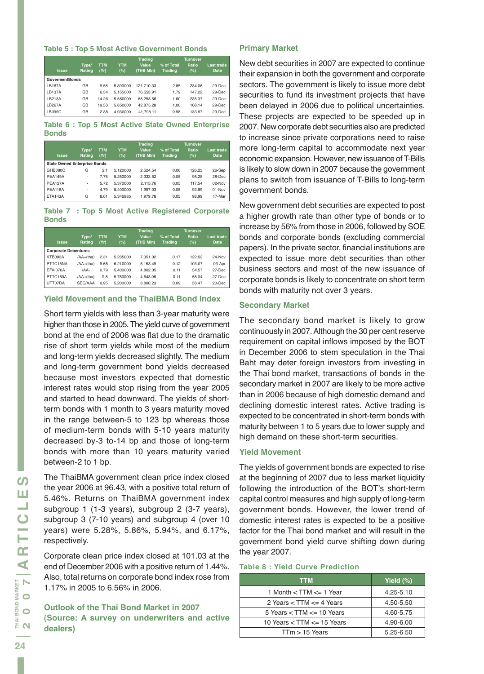#### **Table 5 : Top 5 Most Active Government Bonds**

| <b>Issue</b>          | Type/<br>Rating | <b>TTM</b><br>(Yr) | <b>YTM</b><br>(%) | <b>Trading</b><br>Value<br>(THB MIn) | % of Total<br><b>Trading</b> | <b>Turnover</b><br>Ratio<br>(%) | Last trade<br><b>Date</b> |
|-----------------------|-----------------|--------------------|-------------------|--------------------------------------|------------------------------|---------------------------------|---------------------------|
| <b>GovermentBonds</b> |                 |                    |                   |                                      |                              |                                 |                           |
| LB167A                | GB              | 9.58               | 5.390000          | 121.710.33                           | 2.85                         | 234.06                          | $29$ -Dec                 |
| <b>LB137A</b>         | GB              | 6.54               | 5.155000          | 76.553.91                            | 1.79                         | 147.22                          | $29$ -Dec                 |
| LB213A                | GB              | 14.26              | 5.550000          | 68.258.56                            | 1.60                         | 235.37                          | $29$ -Dec                 |
| LB267A                | GB              | 19.53              | 5.850000          | 42.875.28                            | 1.00                         | 168.14                          | $29$ -Dec                 |
| <b>LB095C</b>         | GB              | 2.38               | 4.930000          | 41.798.11                            | 0.98                         | 133.97                          | 29-Dec                    |

**Table 6 : Top 5 Most Active State Owned Enterprise Bonds**

| <b>Issue</b>                        | Type/<br>Rating          | <b>TTM</b><br>(Yr) | <b>YTM</b><br>$(\%)$ | <b>Trading</b><br>Value<br>(THB MIn) | % of Total<br><b>Trading</b> | <b>Turnover</b><br>Ratio<br>(%) | <b>Last trade</b><br><b>Date</b> |
|-------------------------------------|--------------------------|--------------------|----------------------|--------------------------------------|------------------------------|---------------------------------|----------------------------------|
| <b>State Owned Enterprise Bonds</b> |                          |                    |                      |                                      |                              |                                 |                                  |
| GHB080C                             | G                        | 2.1                | 5.120000             | 2.524.54                             | 0.06                         | 126.23                          | 26-Sep                           |
| <b>PEA149A</b>                      | ۰                        | 7.75               | 5.250000             | 2.333.52                             | 0.05                         | 95.25                           | 28-Dec                           |
| <b>PEA127A</b>                      | ۰                        | 5.72               | 5.370000             | 2.115.76                             | 0.05                         | 117.54                          | $02-Nov$                         |
| <b>PEA118A</b>                      | $\overline{\phantom{a}}$ | 4.79               | 5.400000             | 1.997.03                             | 0.05                         | 92.89                           | $01-Nov$                         |
| <b>ETA143A</b>                      | G                        | 8.01               | 5.346985             | 1.979.78                             | 0.05                         | 98.99                           | 17-Mar                           |

**Table 7 : Top 5 Most Active Registered Corporate Bonds**

|                             |                 |                    |                   | <b>Trading</b>     |                              | <b>Turnover</b> |                           |
|-----------------------------|-----------------|--------------------|-------------------|--------------------|------------------------------|-----------------|---------------------------|
| <b>Issue</b>                | Type/<br>Rating | <b>TTM</b><br>(Yr) | <b>YTM</b><br>(%) | Value<br>(THB MIn) | % of Total<br><b>Trading</b> | Ratio<br>(%)    | Last trade<br><b>Date</b> |
| <b>Corporate Debentures</b> |                 |                    |                   |                    |                              |                 |                           |
| KTB093A                     | /AA+(tha)       | 2.31               | 5.235000          | 7.351.02           | 0.17                         | 122.52          | 24-Nov                    |
| PTTC15NA                    | /AA+(tha)       | 9.65               | 6.210000          | 5.153.49           | 0.12                         | 103.07          | 03-Apr                    |
| EFAI070A                    | /AA-            | 0.79               | 5.400000          | 4.802.05           | 0.11                         | 54.57           | 27-Dec                    |
| PTTC160A                    | $(AA+(tha))$    | 9.8                | 5.750000          | 4.643.05           | 0.11                         | 58.04           | 27-Dec                    |
| UTT07DA                     | SEC/AAA         | 0.95               | 5.200000          | 3.800.23           | 0.09                         | 58.47           | 20-Dec                    |

#### *Yield Movement and the ThaiBMA Bond Index*

Short term yields with less than 3-year maturity were higher than those in 2005. The yield curve of government bond at the end of 2006 was flat due to the dramatic rise of short term yields while most of the medium and long-term yields decreased slightly. The medium and long-term government bond yields decreased because most investors expected that domestic interest rates would stop rising from the year 2005 and started to head downward. The yields of shortterm bonds with 1 month to 3 years maturity moved in the range between-5 to 123 bp whereas those of medium-term bonds with 5-10 years maturity decreased by-3 to-14 bp and those of long-term bonds with more than 10 years maturity varied between-2 to 1 bp.

The ThaiBMA government clean price index closed the year 2006 at 96.43, with a positive total return of 5.46%. Returns on ThaiBMA government index subgroup 1 (1-3 years), subgroup 2 (3-7 years), subgroup 3 (7-10 years) and subgroup 4 (over 10 years) were 5.28%, 5.86%, 5.94%, and 6.17%, respectively.

Corporate clean price index closed at 101.03 at the end of December 2006 with a positive return of 1.44%. Also, total returns on corporate bond index rose from 1.17% in 2005 to 6.56% in 2006.

*Outlook of the Thai Bond Market in 2007 (Source: A survey on underwriters and active dealers)*

#### *Primary Market*

New debt securities in 2007 are expected to continue their expansion in both the government and corporate sectors. The government is likely to issue more debt securities to fund its investment projects that have been delayed in 2006 due to political uncertainties. These projects are expected to be speeded up in 2007. New corporate debt securities also are predicted to increase since private corporations need to raise more long-term capital to accommodate next year economic expansion. However, new issuance of T-Bills is likely to slow down in 2007 because the government plans to switch from issuance of T-Bills to long-term government bonds.

New government debt securities are expected to post a higher growth rate than other type of bonds or to increase by 56% from those in 2006, followed by SOE bonds and corporate bonds (excluding commercial papers). In the private sector, financial institutions are expected to issue more debt securities than other business sectors and most of the new issuance of corporate bonds is likely to concentrate on short term bonds with maturity not over 3 years.

#### *Secondary Market*

The secondary bond market is likely to grow continuously in 2007. Although the 30 per cent reserve requirement on capital inflows imposed by the BOT in December 2006 to stem speculation in the Thai Baht may deter foreign investors from investing in the Thai bond market, transactions of bonds in the secondary market in 2007 are likely to be more active than in 2006 because of high domestic demand and declining domestic interest rates. Active trading is expected to be concentrated in short-term bonds with maturity between 1 to 5 years due to lower supply and high demand on these short-term securities.

#### *Yield Movement*

The yields of government bonds are expected to rise at the beginning of 2007 due to less market liquidity following the introduction of the BOT's short-term capital control measures and high supply of long-term government bonds. However, the lower trend of domestic interest rates is expected to be a positive factor for the Thai bond market and will result in the government bond yield curve shifting down during the year 2007.

#### **Table 8 : Yield Curve Prediction**

| <b>TTM</b>                       | Yield $(\%)$  |
|----------------------------------|---------------|
| 1 Month $<$ TTM $\leq$ 1 Year    | $4.25 - 5.10$ |
| 2 Years $<$ TTM $<=$ 4 Years     | 4.50-5.50     |
| 5 Years $<$ TTM $\leq$ 10 Years  | 4.60-5.75     |
| 10 Years $<$ TTM $\leq$ 15 Years | 4.90-6.00     |
| $TTm > 15$ Years                 | $5.25 - 6.50$ |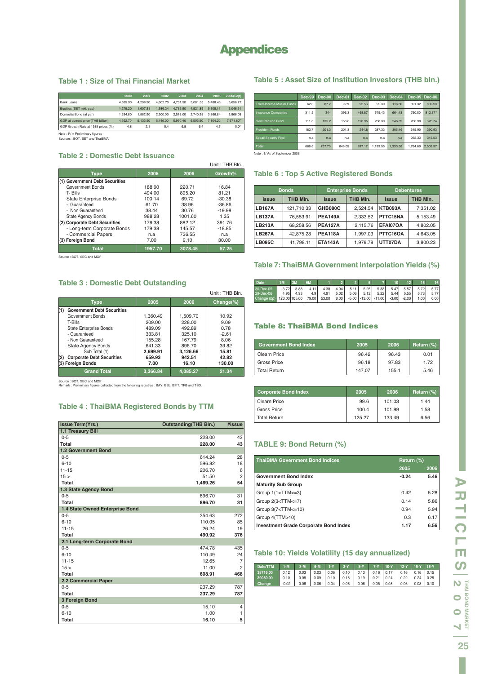## **Appendices**

#### **Table 1 : Size of Thai Financial Market**

|                                    | 2000     | 2001     | 2002     | 2003     | 2004     | 2005     | 2006(Sep)              |
|------------------------------------|----------|----------|----------|----------|----------|----------|------------------------|
| <b>Bank Loans</b>                  | 4.585.90 | 4.298.90 | 4.602.70 | 4.701.50 | 5.081.35 | 548843   | 5.656.77               |
| Equities (SET mkt. cap)            | 1.279.20 | 1.607.31 | 1.986.24 | 4.789.90 | 4.521.89 | 5.105.11 | 5.046.91               |
| Domestic Bond (at par)             | 1.634.80 | 1.882.90 | 2,300.00 | 2.518.00 | 2.740.38 | 3.366.84 | 3,866.08               |
| GDP at current price (THB billion) | 4.922.70 | 5.133.50 | 5,446.00 | 5.930.40 | 6.503.50 | 7.104.20 | 7.671.80 <sup>P/</sup> |
| GDP Growth Rate at 1988 prices (%) | 4.8      | 2.1      | 5.4      | 6.8      | 6.4      | 4.5      | 5.0 <sup>p</sup>       |
| Note : DI - Dreliminans fourage    |          |          |          |          |          |          |                        |

Note : P/ = Preliminary figures Sources : BOT, SET and ThaiBMA

#### **Table 2 : Domestic Debt Issuance**

|                                |         |         | Unit: THB Bln. |
|--------------------------------|---------|---------|----------------|
| Type                           | 2005    | 2006    | Growth%        |
| (1) Government Debt Securities |         |         |                |
| Government Bonds               | 188.90  | 220.71  | 16.84          |
| T-Bills                        | 494.00  | 895.20  | 81.21          |
| <b>State Enterprise Bonds</b>  | 100.14  | 69.72   | $-30.38$       |
| - Guaranteed                   | 61.70   | 38.96   | $-36.86$       |
| - Non Guaranteed               | 38.44   | 30.76   | $-19.98$       |
| <b>State Agency Bonds</b>      | 988.28  | 1001.60 | 1.35           |
| (2) Corporate Debt Securities  | 179.38  | 882.12  | 391.76         |
| - Long-term Corporate Bonds    | 179.38  | 145.57  | $-18.85$       |
| - Commercial Papers            | n.a     | 736.55  | n.a            |
| (3) Foreign Bond               | 7.00    | 9.10    | 30.00          |
| <b>Total</b>                   | 1957.70 | 3078.45 | 57.25          |

Source : BOT, SEC and MOF

#### **Table 3 : Domestic Debt Outstanding**

|                                          |          |          | Unit: THB Bln. |
|------------------------------------------|----------|----------|----------------|
| <b>Type</b>                              | 2005     | 2006     | $Change(\%)$   |
| (1)<br><b>Government Debt Securities</b> |          |          |                |
| Government Bonds                         | 1.360.49 | 1.509.70 | 10.92          |
| T-Bills                                  | 209.00   | 228.00   | 9.09           |
| State Enterprise Bonds                   | 489.09   | 492.89   | 0.78           |
| - Guaranteed                             | 333.81   | 325.10   | $-2.61$        |
| - Non Guaranteed                         | 155.28   | 167.79   | 8.06           |
| <b>State Agency Bonds</b>                | 641.33   | 896.70   | 39.82          |
| Sub Total (1)                            | 2,699.91 | 3,126.66 | 15.81          |
| (2)<br><b>Corporate Debt Securities</b>  | 659.93   | 942.51   | 42.82          |
| (3) Foreign Bonds                        | 7.00     | 16.10    | 130.00         |
| <b>Grand Total</b>                       | 3.366.84 | 4.085.27 | 21.34          |

Source : BOT, SEC and MOF Remark : Preliminary figures collected from the following registras : BAY, BBL, BFIT, TFB and TSD.

#### **Table 4 : ThaiBMA Registered Bonds by TTM**

| <b>Issue Term(Yrs.)</b>         | <b>Outstanding (THB Bln.)</b> | #issue         |
|---------------------------------|-------------------------------|----------------|
| 1.1 Treasury Bill               |                               |                |
| $0 - 5$                         | 228.00                        | 43             |
| Total                           | 228.00                        | 43             |
| 1.2 Government Bond             |                               |                |
| $0 - 5$                         | 614.24                        | 28             |
| $6 - 10$                        | 596.82                        | 18             |
| $11 - 15$                       | 206.70                        | 6              |
| 15 <sub>2</sub>                 | 51.50                         | $\overline{c}$ |
| Total                           | 1,469.26                      | 54             |
| 1.3 State Agency Bond           |                               |                |
| $0 - 5$                         | 896.70                        | 31             |
| Total                           | 896.70                        | 31             |
| 1.4 State Owned Enterprise Bond |                               |                |
| $0 - 5$                         | 354.63                        | 272            |
| $6 - 10$                        | 110.05                        | 85             |
| $11 - 15$                       | 26.24                         | 19             |
| Total                           | 490.92                        | 376            |
| 2.1 Long-term Corporate Bond    |                               |                |
| $0 - 5$                         | 474.78                        | 435            |
| $6 - 10$                        | 110.49                        | 24             |
| $11 - 15$                       | 12.65                         | $\overline{7}$ |
| 15 >                            | 11.00                         | $\overline{c}$ |
| <b>Total</b>                    | 608.91                        | 468            |
| 2.2 Commercial Paper            |                               |                |
| $0 - 5$                         | 237.29                        | 787            |
| Total                           | 237.29                        | 787            |
| 3 Foreign Bond                  |                               |                |
| $0 - 5$                         | 15.10                         | $\overline{4}$ |
| $6 - 10$                        | 1.00                          | $\mathbf{1}$   |
| <b>Total</b>                    | 16.10                         | 5              |

#### **Table 5 : Asset Size of Institution Investors (THB bln.)**

|                              | Dec-99 | Dec-00 | <b>Dec-01</b> | <b>Dec-02</b> | $Dec-03$ | Dec-04   | <b>Dec-05</b> | <b>Dec-06</b>        |  |  |
|------------------------------|--------|--------|---------------|---------------|----------|----------|---------------|----------------------|--|--|
| Fixed-Income Mutual Funds    | 62.8   | 87.2   | 92.9          | 92.53         | 92.39    | 116.80   | 391.32        | 639.90               |  |  |
| <b>Insurance Companies</b>   | 311.5  | 344    | 396.3         | 468.87        | 575.43   | 664.43   | 760.50        | 812.87 <sup>1/</sup> |  |  |
| <b>Govt Pension Fund</b>     | 111.6  | 135.2  | 158.6         | 190.95        | 238.39   | 246.89   | 286.98        | 320.74               |  |  |
| <b>Provident Funds</b>       | 182.7  | 201.3  | 201.3         | 244.8         | 287.33   | 305.46   | 345.90        | 390.93               |  |  |
| Socail Security Find         | n.a    | n.a    | n.a           | n.a           | n.a      | n.a      | 262.33        | 345.53               |  |  |
| Total                        | 668.6  | 767.70 | 849.05        | 997.17        | 1.193.55 | 1.333.58 | 1.784.69      | 2.509.97             |  |  |
| Note: 1/As of September 2006 |        |        |               |               |          |          |               |                      |  |  |

### **Table 6 : Top 5 Active Registered Bonds**

|               | <b>Bonds</b> |                | <b>Enterprise Bonds</b> | <b>Debentures</b> |          |  |  |
|---------------|--------------|----------------|-------------------------|-------------------|----------|--|--|
| <b>Issue</b>  | THB MIn.     |                | THB MIn.                | <b>Issue</b>      | THB MIn. |  |  |
| <b>LB167A</b> | 121.710.33   | GHB080C        | 2.524.54                | <b>KTB093A</b>    | 7,351.02 |  |  |
| LB137A        | 76.553.91    | <b>PEA149A</b> | 2.333.52                | PTTC15NA          | 5.153.49 |  |  |
| <b>LB213A</b> | 68.258.56    | <b>PEA127A</b> | 2.115.76                | EFAI07OA          | 4.802.05 |  |  |
| <b>LB267A</b> | 42.875.28    | <b>PEA118A</b> | 1.997.03                | PTTC16OA          | 4.643.05 |  |  |
| LB095C        | 41.798.11    | <b>ETA143A</b> | 1.979.78                | UTT07DA           | 3,800.23 |  |  |

#### **Table 7: ThaiBMA Government Interpolation Yields (%)**

| Date <sup>®</sup> | 1M              | 3M   | <b>6M</b>        |       |      |      |      |                           |         |         |      | 16   |
|-------------------|-----------------|------|------------------|-------|------|------|------|---------------------------|---------|---------|------|------|
| 30-Dec-05         | 3.72            | 3.88 | 4.11             | 4.38  | 4.94 | 5.11 | 5.25 | 5.33                      | 5.47    | 5.57    | 5.72 | 5.77 |
| 29-Dec-06         | 4.95            | 4.93 | 4.9 <sub>1</sub> | 4.91  | 5.02 | 5.06 | 5.12 | 5.22                      | 5.44    | 5.55    | 5.73 | 5.77 |
| Change (bp)       | $123.00$ 105.00 |      | 79.00            | 53.00 | 8.00 |      |      | $-5.00$ $-13.00$ $-11.00$ | $-3.00$ | $-2.00$ | 1.00 | 0.00 |

#### **Table 8: ThaiBMA Bond Indices**

| <b>Government Bond Index</b> | 2005   | 2006  | Return (%) |
|------------------------------|--------|-------|------------|
| <b>Clearn Price</b>          | 96.42  | 96.43 | 0.01       |
| Gross Price                  | 96.18  | 97.83 | 172        |
| Total Return                 | 147.07 | 155.1 | 5.46       |

| <b>Corporate Bond Index</b> | 2005   | 2006   | Return (%) |
|-----------------------------|--------|--------|------------|
| <b>Clearn Price</b>         | 99.6   | 101.03 | 1.44       |
| Gross Price                 | 100.4  | 101.99 | 1.58       |
| <b>Total Return</b>         | 125.27 | 133.49 | 6.56       |

#### **TABLE 9: Bond Return (%)**

| <b>ThaiBMA Government Bond Indices</b>                            | Return (%) |      |  |
|-------------------------------------------------------------------|------------|------|--|
|                                                                   | 2005       | 2006 |  |
| <b>Government Bond Index</b>                                      | $-0.24$    | 5.46 |  |
| <b>Maturity Sub Group</b>                                         |            |      |  |
| Group 1(1 <ttm<=3)< td=""><td>0.42</td><td>5.28</td></ttm<=3)<>   | 0.42       | 5.28 |  |
| Group 2(3 <ttm<=7)< td=""><td>0.14</td><td>5.86</td></ttm<=7)<>   | 0.14       | 5.86 |  |
| Group 3(7 <ttm<=10)< td=""><td>0.94</td><td>5.94</td></ttm<=10)<> | 0.94       | 5.94 |  |
| Group 4(TTM>10)                                                   | 0.3        | 6.17 |  |
| Investment Grade Corporate Bond Index                             | 1.17       | 6.56 |  |

#### **Table 10: Yields Volatility (15 day annualized)**

| Date/TTM 1-M 3-M 6-M 1-Y 3-Y 5-Y 7-Y 10-Y 12-Y 15-Y 16-Y        |                                                                                                                                                 |  |  |  |  |  |
|-----------------------------------------------------------------|-------------------------------------------------------------------------------------------------------------------------------------------------|--|--|--|--|--|
| 38716.00 0.12 0.03 0.03 0.06 0.10 0.13 0.16 0.17 0.16 0.16 0.15 |                                                                                                                                                 |  |  |  |  |  |
| 39080.00                                                        | 0.10 0.08 0.09 0.10 0.16 0.19 0.21 0.24 0.22 0.24 0.25                                                                                          |  |  |  |  |  |
| Change                                                          | $\vert$ -0.02 $\vert$ 0.06 $\vert$ 0.06 $\vert$ 0.04 $\vert$ 0.06 $\vert$ 0.06 $\vert$ 0.05 $\vert$ 0.08 $\vert$ 0.06 $\vert$ 0.08 $\vert$ 0.10 |  |  |  |  |  |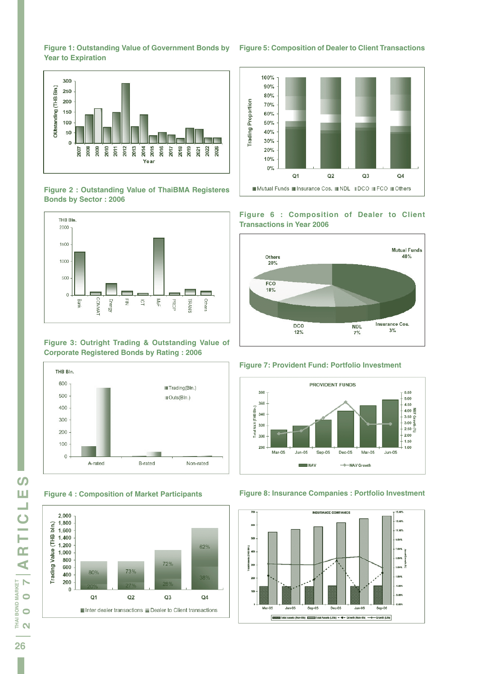



**Figure 2 : Outstanding Value of ThaiBMA Registeres Bonds by Sector : 2006**



#### **Figure 3: Outright Trading & Outstanding Value of Corporate Registered Bonds by Rating : 2006**



**Figure 4 : Composition of Market Participants**





#### **Figure 6 : Composition of Dealer to Client Transactions in Year 2006**



#### **Figure 7: Provident Fund: Portfolio Investment**



#### **Figure 8: Insurance Companies : Portfolio Investment**



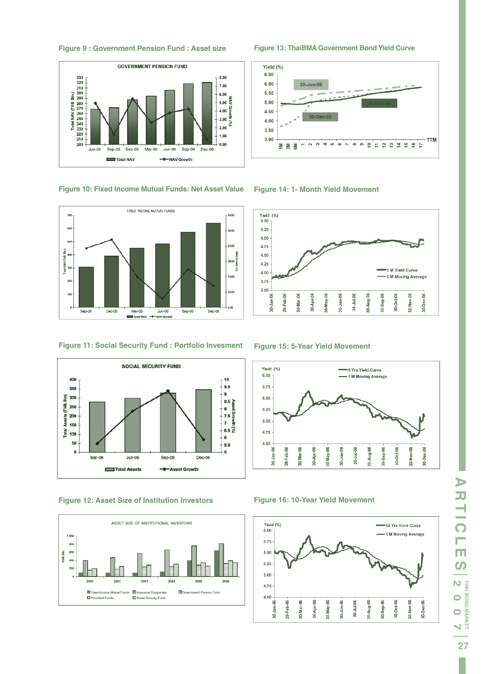







**Figure 11: Social Security Fund : Portfolio Invesment**



**Figure 12: Asset Size of Institution Investors**



**Figure 13: ThaiBMA Government Bond Yield Curve**



**Figure 14: 1- Month Yield Movement**



**Figure 15: 5-Year Yield Movement**



#### **Figure 16: 10-Year Yield Movement**